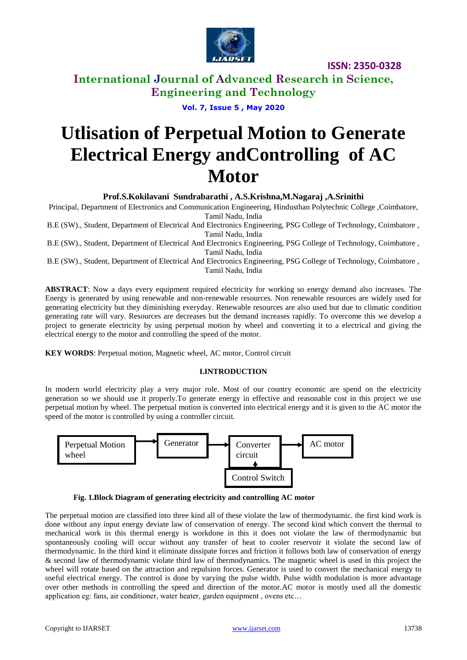

**ISSN: 2350-0328**

**International Journal of Advanced Research in Science, Engineering and Technology**

**Vol. 7, Issue 5 , May 2020**

# **Utlisation of Perpetual Motion to Generate Electrical Energy andControlling of AC Motor**

**Prof.S.Kokilavani Sundrabarathi , A.S.Krishna,M.Nagaraj ,A.Srinithi**

Principal, Department of Electronics and Communication Engineering, Hindusthan Polytechnic College ,Coimbatore, Tamil Nadu, India

B.E (SW)., Student, Department of Electrical And Electronics Engineering, PSG College of Technology, Coimbatore , Tamil Nadu, India

B.E (SW)., Student, Department of Electrical And Electronics Engineering, PSG College of Technology, Coimbatore , Tamil Nadu, India

B.E (SW)., Student, Department of Electrical And Electronics Engineering, PSG College of Technology, Coimbatore , Tamil Nadu, India

**ABSTRACT**: Now a days every equipment required electricity for working so energy demand also increases. The Energy is generated by using renewable and non-renewable resources. Non renewable resources are widely used for generating electricity but they diminishing everyday. Renewable resources are also used but due to climatic condition generating rate will vary. Resources are decreases but the demand increases rapidly. To overcome this we develop a project to generate electricity by using perpetual motion by wheel and converting it to a electrical and giving the electrical energy to the motor and controlling the speed of the motor.

**KEY WORDS**: Perpetual motion, Magnetic wheel, AC motor, Control circuit

### **I.INTRODUCTION**

In modern world electricity play a very major role. Most of our country economic are spend on the electricity generation so we should use it properly.To generate energy in effective and reasonable cost in this project we use perpetual motion by wheel. The perpetual motion is converted into electrical energy and it is given to the AC motor the speed of the motor is controlled by using a controller circuit.



**Fig. 1.Block Diagram of generating electricity and controlling AC motor**

The perpetual motion are classified into three kind all of these violate the law of thermodynamic. the first kind work is done without any input energy deviate law of conservation of energy. The second kind which convert the thermal to mechanical work in this thermal energy is workdone in this it does not violate the law of thermodynamic but spontaneously cooling will occur without any transfer of heat to cooler reservoir it violate the second law of thermodynamic. In the third kind it eliminate dissipate forces and friction it follows both law of conservation of energy & second law of thermodynamic violate third law of thermodynamics. The magnetic wheel is used in this project the wheel will rotate based on the attraction and repulsion forces. Generator is used to convert the mechanical energy to useful electrical energy. The control is done by varying the pulse width. Pulse width modulation is more advantage over other methods in controlling the speed and direction of the motor.AC motor is mostly used all the domestic application eg: fans, air conditioner, water heater, garden equipment , ovens etc…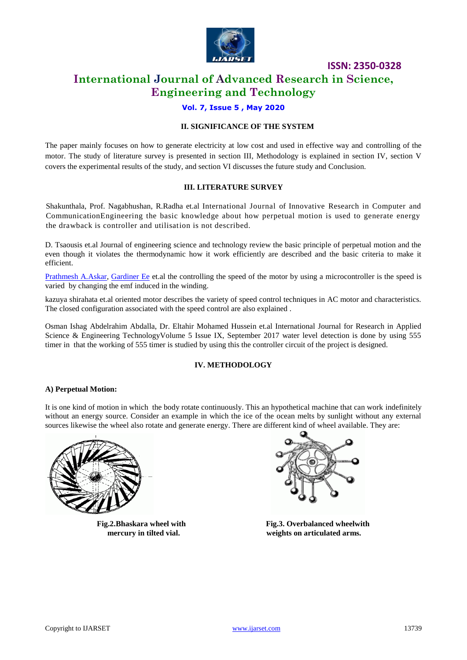

**ISSN: 2350-0328**

### **International Journal of Advanced Research in Science, Engineering and Technology**

### **Vol. 7, Issue 5 , May 2020**

### **II. SIGNIFICANCE OF THE SYSTEM**

The paper mainly focuses on how to generate electricity at low cost and used in effective way and controlling of the motor. The study of literature survey is presented in section III, Methodology is explained in section IV, section V covers the experimental results of the study, and section VI discusses the future study and Conclusion.

### **III. LITERATURE SURVEY**

Shakunthala, Prof. Nagabhushan, R.Radha et.al International Journal of Innovative Research in Computer and CommunicationEngineering the basic knowledge about how perpetual motion is used to generate energy the drawback is controller and utilisation is not described.

D. Tsaousis et.al Journal of engineering science and technology review the basic principle of perpetual motion and the even though it violates the thermodynamic how it work efficiently are described and the basic criteria to make it efficient.

[Prathmesh A.Askar,](https://www.semanticscholar.org/author/Prathmesh-A.-Askar/117366657) [Gardiner Ee](https://www.semanticscholar.org/author/Gardiner-Ee/66589832) et.al the controlling the speed of the motor by using a microcontroller is the speed is varied by changing the emf induced in the winding.

kazuya shirahata et.al oriented motor describes the variety of speed control techniques in AC motor and characteristics. The closed configuration associated with the speed control are also explained .

Osman Ishag Abdelrahim Abdalla, Dr. Eltahir Mohamed Hussein et.al International Journal for Research in Applied Science & Engineering TechnologyVolume 5 Issue IX, September 2017 water level detection is done by using 555 timer in that the working of 555 timer is studied by using this the controller circuit of the project is designed.

### **IV. METHODOLOGY**

### **A) Perpetual Motion:**

It is one kind of motion in which the body rotate continuously. This an hypothetical machine that can work indefinitely without an energy source. Consider an example in which the ice of the ocean melts by sunlight without any external sources likewise the wheel also rotate and generate energy. There are different kind of wheel available. They are:





**Fig.2.Bhaskara wheel with Fig.3. Overbalanced wheelwith mercury in tilted vial. weights on articulated arms.**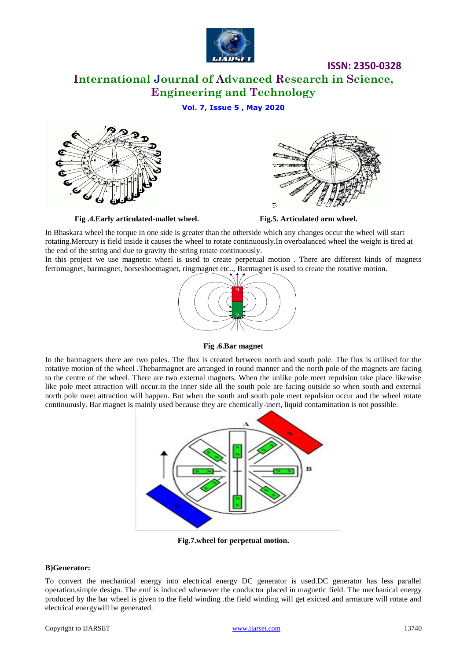

**ISSN: 2350-0328**

### **International Journal of Advanced Research in Science, Engineering and Technology**

### **Vol. 7, Issue 5 , May 2020**



 **Fig .4.Early articulated-mallet wheel. Fig.5. Articulated arm wheel.**



In Bhaskara wheel the torque in one side is greater than the otherside which any changes occur the wheel will start rotating.Mercury is field inside it causes the wheel to rotate continuously.In overbalanced wheel the weight is tired at the end of the string and due to gravity the string rotate continuously.

In this project we use magnetic wheel is used to create perpetual motion . There are different kinds of magnets ferromagnet, barmagnet, horseshoemagnet, ringmagnet etc.., Barmagnet is used to create the rotative motion.



### **Fig .6.Bar magnet**

In the barmagnets there are two poles. The flux is created between north and south pole. The flux is utilised for the rotative motion of the wheel .Thebarmagnet are arranged in round manner and the north pole of the magnets are facing to the centre of the wheel. There are two external magnets. When the unlike pole meet repulsion take place likewise like pole meet attraction will occur.in the inner side all the south pole are facing outside so when south and external north pole meet attraction will happen. But when the south and south pole meet repulsion occur and the wheel rotate continuously. Bar magnet is mainly used because they are chemically-inert, liquid contamination is not possible.



**Fig.7.wheel for perpetual motion.**

### **B)Generator:**

To convert the mechanical energy into electrical energy DC generator is used.DC generator has less parallel operation,simple design. The emf is induced whenever the conductor placed in magnetic field. The mechanical energy produced by the bar wheel is given to the field winding .the field winding will get exicted and armature will rotate and electrical energywill be generated.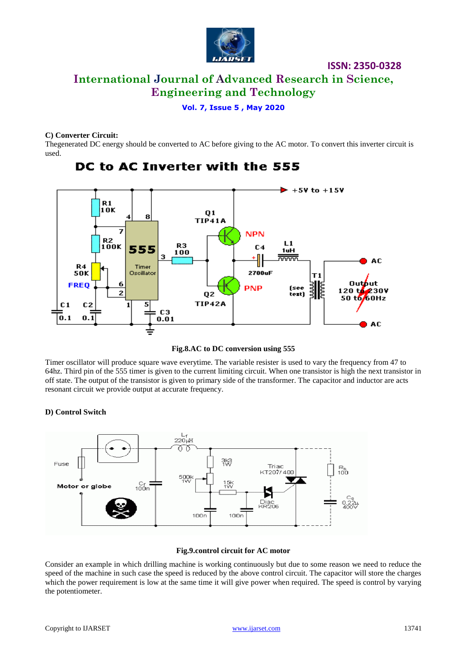

## **International Journal of Advanced Research in Science, Engineering and Technology**

**ISSN: 2350-0328**

**Vol. 7, Issue 5 , May 2020**

### **C) Converter Circuit:**

Thegenerated DC energy should be converted to AC before giving to the AC motor. To convert this inverter circuit is used.



### DC to AC Inverter with the 555

**Fig.8.AC to DC conversion using 555** 

Timer oscillator will produce square wave everytime. The variable resister is used to vary the frequency from 47 to 64hz. Third pin of the 555 timer is given to the current limiting circuit. When one transistor is high the next transistor in off state. The output of the transistor is given to primary side of the transformer. The capacitor and inductor are acts resonant circuit we provide output at accurate frequency.

### **D) Control Switch**



### **Fig.9.control circuit for AC motor**

Consider an example in which drilling machine is working continuously but due to some reason we need to reduce the speed of the machine in such case the speed is reduced by the above control circuit. The capacitor will store the charges which the power requirement is low at the same time it will give power when required. The speed is control by varying the potentiometer.